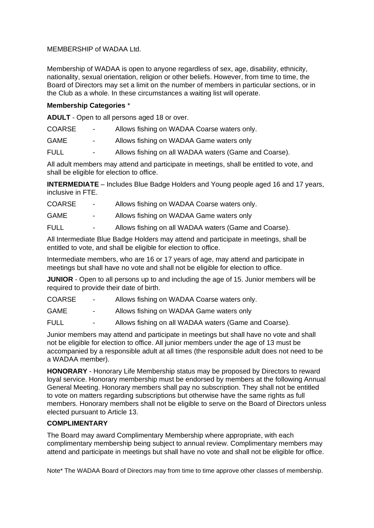## MEMBERSHIP of WADAA Ltd.

Membership of WADAA is open to anyone regardless of sex, age, disability, ethnicity, nationality, sexual orientation, religion or other beliefs. However, from time to time, the Board of Directors may set a limit on the number of members in particular sections, or in the Club as a whole. In these circumstances a waiting list will operate.

## **Membership Categories** \*

**ADULT** - Open to all persons aged 18 or over.

| <b>COARSE</b> | Allows fishing on WADAA Coarse waters only. |
|---------------|---------------------------------------------|
|---------------|---------------------------------------------|

- GAME Allows fishing on WADAA Game waters only
- FULL Allows fishing on all WADAA waters (Game and Coarse).

All adult members may attend and participate in meetings, shall be entitled to vote, and shall be eligible for election to office.

**INTERMEDIATE** – Includes Blue Badge Holders and Young people aged 16 and 17 years, inclusive in FTE.

| <b>COARSE</b> | Allows fishing on WADAA Coarse waters only. |
|---------------|---------------------------------------------|
|               |                                             |

- GAME Allows fishing on WADAA Game waters only
- FULL Allows fishing on all WADAA waters (Game and Coarse).

All Intermediate Blue Badge Holders may attend and participate in meetings, shall be entitled to vote, and shall be eligible for election to office.

Intermediate members, who are 16 or 17 years of age, may attend and participate in meetings but shall have no vote and shall not be eligible for election to office.

**JUNIOR** - Open to all persons up to and including the age of 15. Junior members will be required to provide their date of birth.

COARSE - Allows fishing on WADAA Coarse waters only.

GAME - Allows fishing on WADAA Game waters only

FULL - Allows fishing on all WADAA waters (Game and Coarse).

Junior members may attend and participate in meetings but shall have no vote and shall not be eligible for election to office. All junior members under the age of 13 must be accompanied by a responsible adult at all times (the responsible adult does not need to be a WADAA member).

**HONORARY** - Honorary Life Membership status may be proposed by Directors to reward loyal service. Honorary membership must be endorsed by members at the following Annual General Meeting. Honorary members shall pay no subscription. They shall not be entitled to vote on matters regarding subscriptions but otherwise have the same rights as full members. Honorary members shall not be eligible to serve on the Board of Directors unless elected pursuant to Article 13.

## **COMPLIMENTARY**

The Board may award Complimentary Membership where appropriate, with each complimentary membership being subject to annual review. Complimentary members may attend and participate in meetings but shall have no vote and shall not be eligible for office.

Note\* The WADAA Board of Directors may from time to time approve other classes of membership.